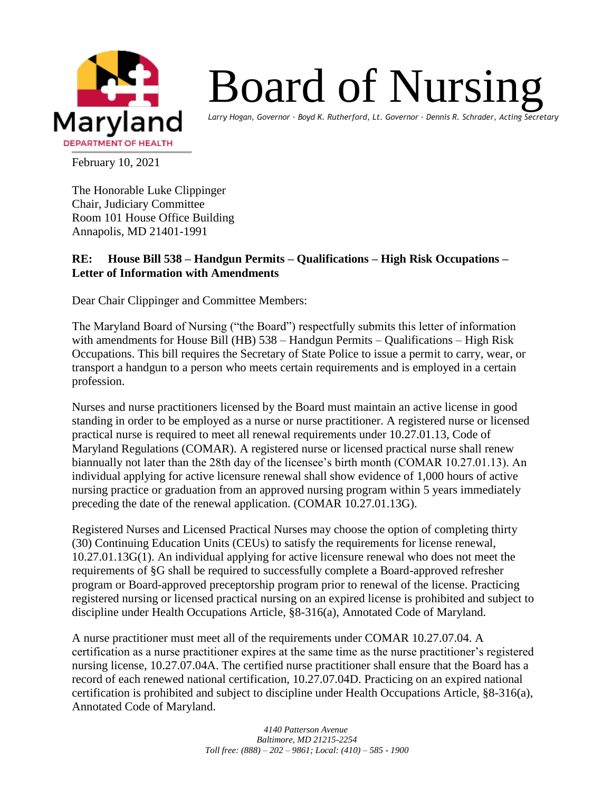

## Board of Nursing

*Larry Hogan, Governor ∙ Boyd K. Rutherford, Lt. Governor ∙ Dennis R. Schrader, Acting Secretary*

February 10, 2021

The Honorable Luke Clippinger Chair, Judiciary Committee Room 101 House Office Building Annapolis, MD 21401-1991

## **RE: House Bill 538 – Handgun Permits – Qualifications – High Risk Occupations – Letter of Information with Amendments**

Dear Chair Clippinger and Committee Members:

The Maryland Board of Nursing ("the Board") respectfully submits this letter of information with amendments for House Bill (HB) 538 – Handgun Permits – Qualifications – High Risk Occupations. This bill requires the Secretary of State Police to issue a permit to carry, wear, or transport a handgun to a person who meets certain requirements and is employed in a certain profession.

Nurses and nurse practitioners licensed by the Board must maintain an active license in good standing in order to be employed as a nurse or nurse practitioner. A registered nurse or licensed practical nurse is required to meet all renewal requirements under 10.27.01.13, Code of Maryland Regulations (COMAR). A registered nurse or licensed practical nurse shall renew biannually not later than the 28th day of the licensee's birth month (COMAR 10.27.01.13). An individual applying for active licensure renewal shall show evidence of 1,000 hours of active nursing practice or graduation from an approved nursing program within 5 years immediately preceding the date of the renewal application. (COMAR 10.27.01.13G).

Registered Nurses and Licensed Practical Nurses may choose the option of completing thirty (30) Continuing Education Units (CEUs) to satisfy the requirements for license renewal, 10.27.01.13G(1). An individual applying for active licensure renewal who does not meet the requirements of §G shall be required to successfully complete a Board-approved refresher program or Board-approved preceptorship program prior to renewal of the license. Practicing registered nursing or licensed practical nursing on an expired license is prohibited and subject to discipline under Health Occupations Article, §8-316(a), Annotated Code of Maryland.

A nurse practitioner must meet all of the requirements under COMAR 10.27.07.04. A certification as a nurse practitioner expires at the same time as the nurse practitioner's registered nursing license, 10.27.07.04A. The certified nurse practitioner shall ensure that the Board has a record of each renewed national certification, 10.27.07.04D. Practicing on an expired national certification is prohibited and subject to discipline under Health Occupations Article, §8-316(a), Annotated Code of Maryland.